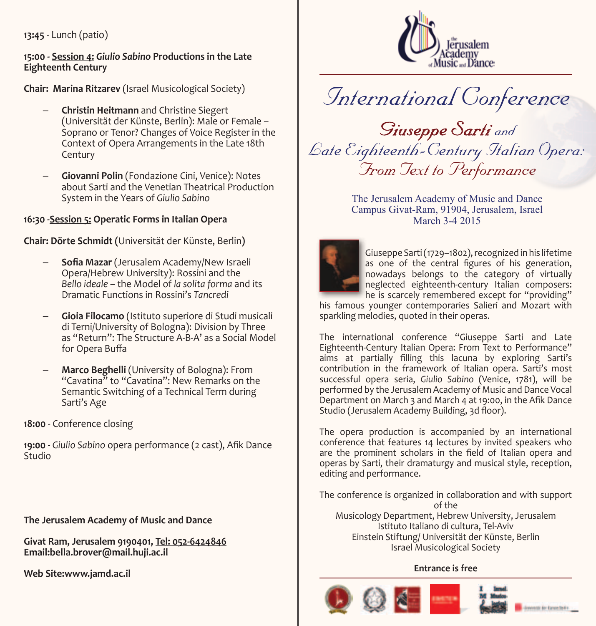**13:45** - Lunch (patio)

#### **15:00 - Session 4: Giulio Sabino Productions in the Late Eighteenth Century**

(Chair: Marina Ritzarev (Israel Musicological Society)

- **Christin Heitmann and Christine Siegert** (Universität der Künste, Berlin): Male or Female -Soprano or Tenor? Changes of Voice Register in the Context of Opera Arrangements in the Late 18th Century
- **Giovanni Polin** (Fondazione Cini, Venice): Notes about Sarti and the Venetian Theatrical Production **System in the Years of Giulio Sabino**

## **16:30 - Session 5: Operatic Forms in Italian Opera**

**Chair: Dörte Schmidt (Universität der Künste, Berlin)** 

- Sofia Mazar (Jerusalem Academy/New Israeli Opera/Hebrew University): Rossini and the Bello *ideale* – the Model of la solita forma and its **Dramatic Functions in Rossini's Tancredi**
- **Gioia Filocamo** (Istituto superiore di Studi musicali di Terni/University of Bologna): Division by Three as "Return": The Structure A-B-A' as a Social Model for Opera Buffa
- **Marco Beghelli** (University of Bologna): From "Cavatina" to "Cavatina": New Remarks on the  $"$ Semantic Switching of a Technical Term during Sarti's Age

18:00 - Conference closing

19:00 - Giulio Sabino opera performance (2 cast), Afik Dance Studio

**The Jerusalem Academy of Music and Dance** 

Givat Ram, Jerusalem 9190401, Tel: 052-6424846 Email:bella.brover@mail.huji.ac.il

**Web Site:www.jamd.ac.il** 



# *Conference International*

*<u>Giuseppe</u> Sarti* and *:Opera Italian Century-Eighteenth Late From Jext to Performance* 

> The Jerusalem Academy of Music and Dance Campus Givat-Ram, 91904, Jerusalem, Israel March 3-4 2015



Giuseppe Sarti (1729–1802), recognized in his lifetime as one of the central figures of his generation, nowadays belongs to the category of virtually neglected eighteenth-century Italian composers: he is scarcely remembered except for "providing"

his famous younger contemporaries Salieri and Mozart with sparkling melodies, quoted in their operas.

The international conference "Giuseppe Sarti and Late Eighteenth-Century Italian Opera: From Text to Performance" aims at partially filling this lacuna by exploring Sarti's contribution in the framework of Italian opera. Sarti's most successful opera seria, Giulio Sabino (Venice, 1781), will be performed by the Jerusalem Academy of Music and Dance Vocal Department on March 3 and March 4 at 19:00, in the Afik Dance Studio (Jerusalem Academy Building, 3d floor).

The opera production is accompanied by an international conference that features 14 lectures by invited speakers who are the prominent scholars in the field of Italian opera and operas by Sarti, their dramaturgy and musical style, reception, editing and performance.

The conference is organized in collaboration and with support of the Musicology Department, Hebrew University, Jerusalem Istituto Italiano di cultura. Tel-Aviv Einstein Stiftung/ Universität der Künste, Berlin Israel Musicological Society

### **Entrance** is free